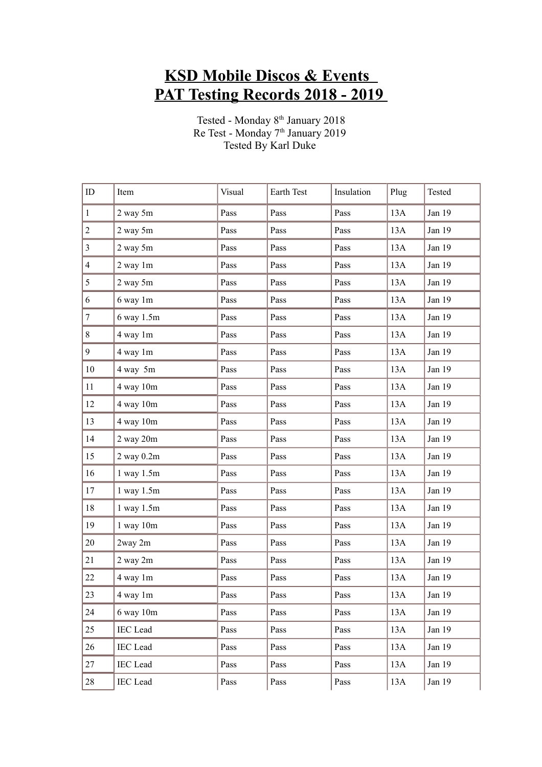## **KSD Mobile Discos & Events PAT Testing Records 2018 - 2019**

Tested - Monday 8<sup>th</sup> January 2018 Re Test - Monday 7<sup>th</sup> January 2019 Tested By Karl Duke

| ID                      | Item            | Visual | Earth Test | Insulation | Plug | Tested |
|-------------------------|-----------------|--------|------------|------------|------|--------|
| $\mathbf{1}$            | 2 way 5m        | Pass   | Pass       | Pass       | 13A  | Jan 19 |
| $\overline{c}$          | 2 way 5m        | Pass   | Pass       | Pass       | 13A  | Jan 19 |
| $\overline{\mathbf{3}}$ | $2$ way $5m$    | Pass   | Pass       | Pass       | 13A  | Jan 19 |
| $\overline{4}$          | 2 way 1m        | Pass   | Pass       | Pass       | 13A  | Jan 19 |
| 5                       | $2$ way $5m$    | Pass   | Pass       | Pass       | 13A  | Jan 19 |
| 6                       | 6 way 1m        | Pass   | Pass       | Pass       | 13A  | Jan 19 |
| $\overline{7}$          | 6 way 1.5m      | Pass   | Pass       | Pass       | 13A  | Jan 19 |
| 8                       | 4 way 1m        | Pass   | Pass       | Pass       | 13A  | Jan 19 |
| 9                       | 4 way 1m        | Pass   | Pass       | Pass       | 13A  | Jan 19 |
| 10                      | 4 way 5m        | Pass   | Pass       | Pass       | 13A  | Jan 19 |
| 11                      | 4 way 10m       | Pass   | Pass       | Pass       | 13A  | Jan 19 |
| 12                      | 4 way 10m       | Pass   | Pass       | Pass       | 13A  | Jan 19 |
| 13                      | 4 way 10m       | Pass   | Pass       | Pass       | 13A  | Jan 19 |
| 14                      | $2$ way $20m$   | Pass   | Pass       | Pass       | 13A  | Jan 19 |
| 15                      | $2$ way $0.2m$  | Pass   | Pass       | Pass       | 13A  | Jan 19 |
| 16                      | $1$ way $1.5m$  | Pass   | Pass       | Pass       | 13A  | Jan 19 |
| 17                      | 1 way 1.5m      | Pass   | Pass       | Pass       | 13A  | Jan 19 |
| 18                      | 1 way 1.5m      | Pass   | Pass       | Pass       | 13A  | Jan 19 |
| 19                      | $1$ way $10m$   | Pass   | Pass       | Pass       | 13A  | Jan 19 |
| 20                      | 2way 2m         | Pass   | Pass       | Pass       | 13A  | Jan 19 |
| 21                      | 2 way 2m        | Pass   | Pass       | Pass       | 13A  | Jan 19 |
| 22                      | 4 way 1m        | Pass   | Pass       | Pass       | 13A  | Jan 19 |
| 23                      | 4 way 1m        | Pass   | Pass       | Pass       | 13A  | Jan 19 |
| 24                      | $6$ way $10m$   | Pass   | Pass       | Pass       | 13A  | Jan 19 |
| 25                      | <b>IEC</b> Lead | Pass   | Pass       | Pass       | 13A  | Jan 19 |
| 26                      | <b>IEC</b> Lead | Pass   | Pass       | Pass       | 13A  | Jan 19 |
| 27                      | <b>IEC</b> Lead | Pass   | Pass       | Pass       | 13A  | Jan 19 |
| 28                      | <b>IEC</b> Lead | Pass   | Pass       | Pass       | 13A  | Jan 19 |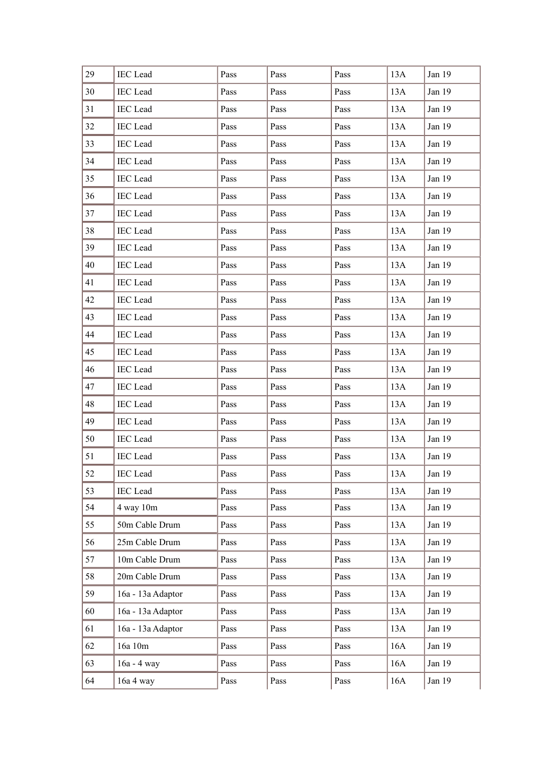| 29 | IEC Lead          | Pass | Pass | Pass | 13A | Jan 19 |
|----|-------------------|------|------|------|-----|--------|
| 30 | <b>IEC</b> Lead   | Pass | Pass | Pass | 13A | Jan 19 |
| 31 | IEC Lead          | Pass | Pass | Pass | 13A | Jan 19 |
| 32 | <b>IEC</b> Lead   | Pass | Pass | Pass | 13A | Jan 19 |
| 33 | <b>IEC</b> Lead   | Pass | Pass | Pass | 13A | Jan 19 |
| 34 | <b>IEC</b> Lead   | Pass | Pass | Pass | 13A | Jan 19 |
| 35 | <b>IEC</b> Lead   | Pass | Pass | Pass | 13A | Jan 19 |
| 36 | <b>IEC</b> Lead   | Pass | Pass | Pass | 13A | Jan 19 |
| 37 | <b>IEC</b> Lead   | Pass | Pass | Pass | 13A | Jan 19 |
| 38 | <b>IEC</b> Lead   | Pass | Pass | Pass | 13A | Jan 19 |
| 39 | <b>IEC</b> Lead   | Pass | Pass | Pass | 13A | Jan 19 |
| 40 | <b>IEC</b> Lead   | Pass | Pass | Pass | 13A | Jan 19 |
| 41 | <b>IEC</b> Lead   | Pass | Pass | Pass | 13A | Jan 19 |
| 42 | <b>IEC</b> Lead   | Pass | Pass | Pass | 13A | Jan 19 |
| 43 | <b>IEC</b> Lead   | Pass | Pass | Pass | 13A | Jan 19 |
| 44 | <b>IEC</b> Lead   | Pass | Pass | Pass | 13A | Jan 19 |
| 45 | <b>IEC</b> Lead   | Pass | Pass | Pass | 13A | Jan 19 |
| 46 | <b>IEC</b> Lead   | Pass | Pass | Pass | 13A | Jan 19 |
| 47 | <b>IEC</b> Lead   | Pass | Pass | Pass | 13A | Jan 19 |
| 48 | <b>IEC</b> Lead   | Pass | Pass | Pass | 13A | Jan 19 |
| 49 | <b>IEC</b> Lead   | Pass | Pass | Pass | 13A | Jan 19 |
| 50 | <b>IEC</b> Lead   | Pass | Pass | Pass | 13A | Jan 19 |
| 51 | <b>IEC</b> Lead   | Pass | Pass | Pass | 13A | Jan 19 |
| 52 | <b>IEC</b> Lead   | Pass | Pass | Pass | 13A | Jan 19 |
| 53 | <b>IEC</b> Lead   | Pass | Pass | Pass | 13A | Jan 19 |
| 54 | 4 way 10m         | Pass | Pass | Pass | 13A | Jan 19 |
| 55 | 50m Cable Drum    | Pass | Pass | Pass | 13A | Jan 19 |
| 56 | 25m Cable Drum    | Pass | Pass | Pass | 13A | Jan 19 |
| 57 | 10m Cable Drum    | Pass | Pass | Pass | 13A | Jan 19 |
| 58 | 20m Cable Drum    | Pass | Pass | Pass | 13A | Jan 19 |
| 59 | 16a - 13a Adaptor | Pass | Pass | Pass | 13A | Jan 19 |
| 60 | 16a - 13a Adaptor | Pass | Pass | Pass | 13A | Jan 19 |
| 61 | 16a - 13a Adaptor | Pass | Pass | Pass | 13A | Jan 19 |
| 62 | 16a 10m           | Pass | Pass | Pass | 16A | Jan 19 |
| 63 | 16a - 4 way       | Pass | Pass | Pass | 16A | Jan 19 |
| 64 | 16a 4 way         | Pass | Pass | Pass | 16A | Jan 19 |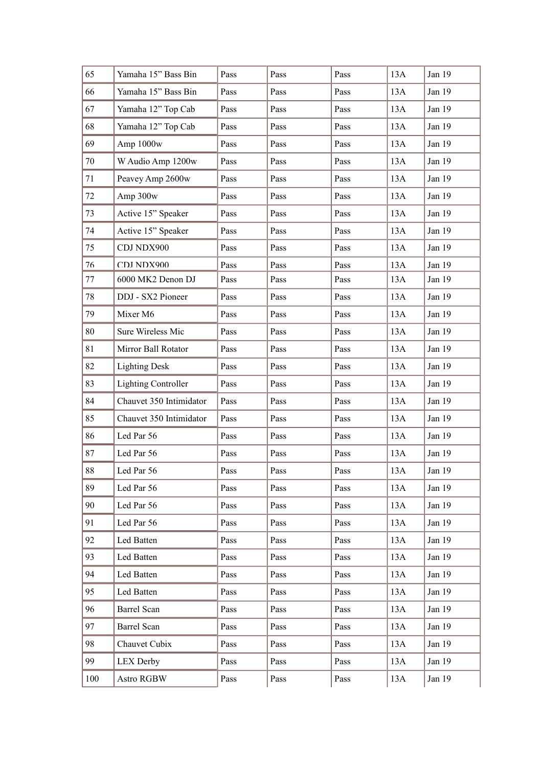| 65     | Yamaha 15" Bass Bin        | Pass | Pass | Pass | 13A | Jan 19   |
|--------|----------------------------|------|------|------|-----|----------|
| 66     | Yamaha 15" Bass Bin        | Pass | Pass | Pass | 13A | Jan 19   |
| 67     | Yamaha 12" Top Cab         | Pass | Pass | Pass | 13A | Jan 19   |
| 68     | Yamaha 12" Top Cab         | Pass | Pass | Pass | 13A | Jan 19   |
| 69     | Amp 1000w                  | Pass | Pass | Pass | 13A | Jan 19   |
| 70     | W Audio Amp 1200w          | Pass | Pass | Pass | 13A | Jan 19   |
| 71     | Peavey Amp 2600w           | Pass | Pass | Pass | 13A | Jan 19   |
| 72     | Amp 300w                   | Pass | Pass | Pass | 13A | Jan 19   |
| 73     | Active 15" Speaker         | Pass | Pass | Pass | 13A | Jan 19   |
| 74     | Active 15" Speaker         | Pass | Pass | Pass | 13A | Jan 19   |
| 75     | CDJ NDX900                 | Pass | Pass | Pass | 13A | Jan 19   |
| 76     | CDJ NDX900                 | Pass | Pass | Pass | 13A | Jan $19$ |
| 77     | 6000 MK2 Denon DJ          | Pass | Pass | Pass | 13A | Jan 19   |
| 78     | DDJ - SX2 Pioneer          | Pass | Pass | Pass | 13A | Jan 19   |
| 79     | Mixer M6                   | Pass | Pass | Pass | 13A | Jan 19   |
| 80     | Sure Wireless Mic          | Pass | Pass | Pass | 13A | Jan 19   |
| 81     | Mirror Ball Rotator        | Pass | Pass | Pass | 13A | Jan 19   |
| 82     | <b>Lighting Desk</b>       | Pass | Pass | Pass | 13A | Jan 19   |
| 83     | <b>Lighting Controller</b> | Pass | Pass | Pass | 13A | Jan 19   |
| 84     | Chauvet 350 Intimidator    | Pass | Pass | Pass | 13A | Jan 19   |
| 85     | Chauvet 350 Intimidator    | Pass | Pass | Pass | 13A | Jan 19   |
| 86     | Led Par 56                 | Pass | Pass | Pass | 13A | Jan 19   |
| 87     | Led Par 56                 | Pass | Pass | Pass | 13A | Jan 19   |
| $88\,$ | Led Par 56                 | Pass | Pass | Pass | 13A | Jan 19   |
| 89     | Led Par 56                 | Pass | Pass | Pass | 13A | Jan 19   |
| 90     | Led Par 56                 | Pass | Pass | Pass | 13A | Jan 19   |
| 91     | Led Par 56                 | Pass | Pass | Pass | 13A | Jan 19   |
| 92     | Led Batten                 | Pass | Pass | Pass | 13A | Jan 19   |
| 93     | Led Batten                 | Pass | Pass | Pass | 13A | Jan 19   |
| 94     | Led Batten                 | Pass | Pass | Pass | 13A | Jan 19   |
| 95     | Led Batten                 | Pass | Pass | Pass | 13A | Jan 19   |
| 96     | Barrel Scan                | Pass | Pass | Pass | 13A | Jan 19   |
| 97     | <b>Barrel Scan</b>         | Pass | Pass | Pass | 13A | Jan 19   |
| 98     | Chauvet Cubix              | Pass | Pass | Pass | 13A | Jan 19   |
| 99     | LEX Derby                  | Pass | Pass | Pass | 13A | Jan 19   |
| 100    | Astro RGBW                 | Pass | Pass | Pass | 13A | Jan 19   |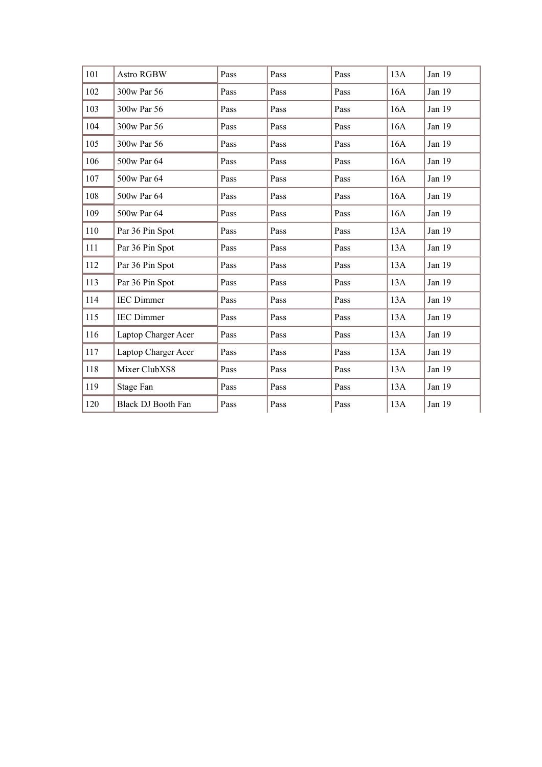| 101 | Astro RGBW          | Pass | Pass | Pass | 13A | Jan 19 |
|-----|---------------------|------|------|------|-----|--------|
| 102 | 300w Par 56         | Pass | Pass | Pass | 16A | Jan 19 |
| 103 | 300w Par 56         | Pass | Pass | Pass | 16A | Jan 19 |
| 104 | 300w Par 56         | Pass | Pass | Pass | 16A | Jan 19 |
| 105 | 300w Par 56         | Pass | Pass | Pass | 16A | Jan 19 |
| 106 | 500w Par 64         | Pass | Pass | Pass | 16A | Jan 19 |
| 107 | 500w Par 64         | Pass | Pass | Pass | 16A | Jan 19 |
| 108 | 500w Par 64         | Pass | Pass | Pass | 16A | Jan 19 |
| 109 | 500w Par 64         | Pass | Pass | Pass | 16A | Jan 19 |
| 110 | Par 36 Pin Spot     | Pass | Pass | Pass | 13A | Jan 19 |
| 111 | Par 36 Pin Spot     | Pass | Pass | Pass | 13A | Jan 19 |
| 112 | Par 36 Pin Spot     | Pass | Pass | Pass | 13A | Jan 19 |
| 113 | Par 36 Pin Spot     | Pass | Pass | Pass | 13A | Jan 19 |
| 114 | <b>IEC</b> Dimmer   | Pass | Pass | Pass | 13A | Jan 19 |
| 115 | <b>IEC</b> Dimmer   | Pass | Pass | Pass | 13A | Jan 19 |
| 116 | Laptop Charger Acer | Pass | Pass | Pass | 13A | Jan 19 |
| 117 | Laptop Charger Acer | Pass | Pass | Pass | 13A | Jan 19 |
| 118 | Mixer ClubXS8       | Pass | Pass | Pass | 13A | Jan 19 |
| 119 | Stage Fan           | Pass | Pass | Pass | 13A | Jan 19 |
| 120 | Black DJ Booth Fan  | Pass | Pass | Pass | 13A | Jan 19 |